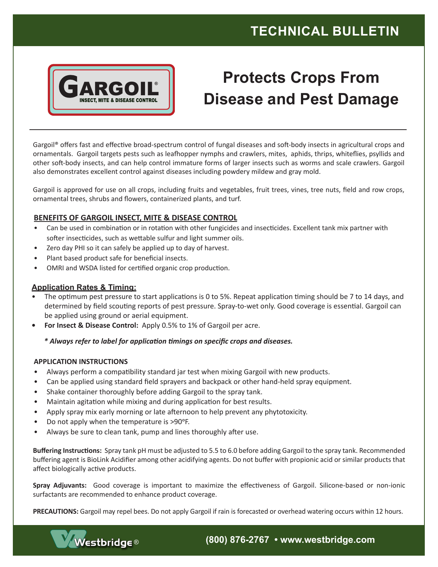## **TECHNICAL BULLETIN**



# **Protects Crops From Disease and Pest Damage**

Gargoil® offers fast and effective broad-spectrum control of fungal diseases and soft-body insects in agricultural crops and ornamentals. Gargoil targets pests such as leafhopper nymphs and crawlers, mites, aphids, thrips, whiteflies, psyllids and other soft-body insects, and can help control immature forms of larger insects such as worms and scale crawlers. Gargoil also demonstrates excellent control against diseases including powdery mildew and gray mold.

Gargoil is approved for use on all crops, including fruits and vegetables, fruit trees, vines, tree nuts, field and row crops, ornamental trees, shrubs and flowers, containerized plants, and turf.

### **BENEFITS OF GARGOIL INSECT, MITE & DISEASE CONTROL**

- Can be used in combination or in rotation with other fungicides and insecticides. Excellent tank mix partner with softer insecticides, such as wettable sulfur and light summer oils.
- Zero day PHI so it can safely be applied up to day of harvest.
- Plant based product safe for beneficial insects.
- OMRI and WSDA listed for certified organic crop production.

### **Application Rates & Timing:**

- The optimum pest pressure to start applications is 0 to 5%. Repeat application timing should be 7 to 14 days, and determined by field scouting reports of pest pressure. Spray-to-wet only. Good coverage is essential. Gargoil can be applied using ground or aerial equipment.
- **• For Insect & Disease Control:** Apply 0.5% to 1% of Gargoil per acre.

### *\* Always refer to label for application timings on specific crops and diseases.*

### **APPLICATION INSTRUCTIONS**

- Always perform a compatibility standard jar test when mixing Gargoil with new products.
- Can be applied using standard field sprayers and backpack or other hand-held spray equipment.
- Shake container thoroughly before adding Gargoil to the spray tank.
- Maintain agitation while mixing and during application for best results.
- Apply spray mix early morning or late afternoon to help prevent any phytotoxicity.
- Do not apply when the temperature is >90°F.
- Always be sure to clean tank, pump and lines thoroughly after use.

**Buffering Instructions:** Spray tank pH must be adjusted to 5.5 to 6.0 before adding Gargoil to the spray tank. Recommended buffering agent is BioLink Acidifier among other acidifying agents. Do not buffer with propionic acid or similar products that affect biologically active products.

**Spray Adjuvants:** Good coverage is important to maximize the effectiveness of Gargoil. Silicone-based or non-ionic surfactants are recommended to enhance product coverage.

**PRECAUTIONS:** Gargoil may repel bees. Do not apply Gargoil if rain is forecasted or overhead watering occurs within 12 hours.